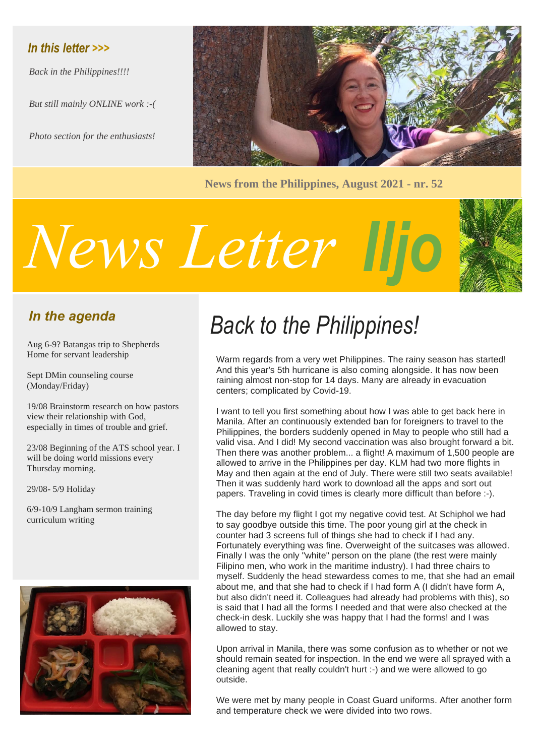### *In this letter >>>*

*Back in the Philippines!!!!*

*But still mainly ONLINE work :-(*

*Photo section for the enthusiasts!*



**News from the Philippines, August 2021 - nr. 52**

# *Iljo News Letter*



## *In the agenda*

Aug 6-9? Batangas trip to Shepherds Home for servant leadership

Sept DMin counseling course (Monday/Friday)

19/08 Brainstorm research on how pastors view their relationship with God, especially in times of trouble and grief.

23/08 Beginning of the ATS school year. I will be doing world missions every Thursday morning.

29/08- 5/9 Holiday

6/9-10/9 Langham sermon training curriculum writing



# *Back to the Philippines!*

Warm regards from a very wet Philippines. The rainy season has started! And this year's 5th hurricane is also coming alongside. It has now been raining almost non-stop for 14 days. Many are already in evacuation centers; complicated by Covid-19.

I want to tell you first something about how I was able to get back here in Manila. After an continuously extended ban for foreigners to travel to the Philippines, the borders suddenly opened in May to people who still had a valid visa. And I did! My second vaccination was also brought forward a bit. Then there was another problem... a flight! A maximum of 1,500 people are allowed to arrive in the Philippines per day. KLM had two more flights in May and then again at the end of July. There were still two seats available! Then it was suddenly hard work to download all the apps and sort out papers. Traveling in covid times is clearly more difficult than before :-).

The day before my flight I got my negative covid test. At Schiphol we had to say goodbye outside this time. The poor young girl at the check in counter had 3 screens full of things she had to check if I had any. Fortunately everything was fine. Overweight of the suitcases was allowed. Finally I was the only "white" person on the plane (the rest were mainly Filipino men, who work in the maritime industry). I had three chairs to myself. Suddenly the head stewardess comes to me, that she had an email about me, and that she had to check if I had form A (I didn't have form A, but also didn't need it. Colleagues had already had problems with this), so is said that I had all the forms I needed and that were also checked at the check-in desk. Luckily she was happy that I had the forms! and I was allowed to stay.

Upon arrival in Manila, there was some confusion as to whether or not we should remain seated for inspection. In the end we were all sprayed with a cleaning agent that really couldn't hurt :-) and we were allowed to go outside.

We were met by many people in Coast Guard uniforms. After another form and temperature check we were divided into two rows.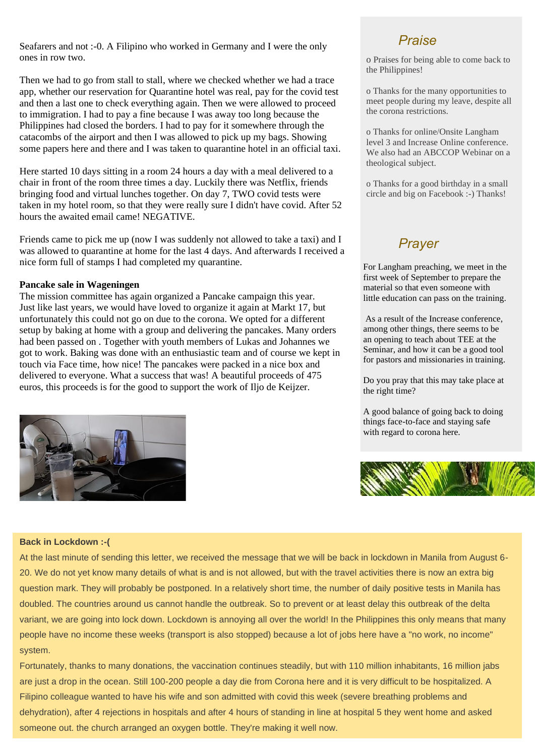Seafarers and not :-0. A Filipino who worked in Germany and I were the only ones in row two.

Then we had to go from stall to stall, where we checked whether we had a trace app, whether our reservation for Quarantine hotel was real, pay for the covid test and then a last one to check everything again. Then we were allowed to proceed to immigration. I had to pay a fine because I was away too long because the Philippines had closed the borders. I had to pay for it somewhere through the catacombs of the airport and then I was allowed to pick up my bags. Showing some papers here and there and I was taken to quarantine hotel in an official taxi.

Here started 10 days sitting in a room 24 hours a day with a meal delivered to a chair in front of the room three times a day. Luckily there was Netflix, friends bringing food and virtual lunches together. On day 7, TWO covid tests were taken in my hotel room, so that they were really sure I didn't have covid. After 52 hours the awaited email came! NEGATIVE.

Friends came to pick me up (now I was suddenly not allowed to take a taxi) and I was allowed to quarantine at home for the last 4 days. And afterwards I received a nice form full of stamps I had completed my quarantine.

#### **Pancake sale in Wageningen**

The mission committee has again organized a Pancake campaign this year. Just like last years, we would have loved to organize it again at Markt 17, but unfortunately this could not go on due to the corona. We opted for a different setup by baking at home with a group and delivering the pancakes. Many orders had been passed on . Together with youth members of Lukas and Johannes we got to work. Baking was done with an enthusiastic team and of course we kept in touch via Face time, how nice! The pancakes were packed in a nice box and delivered to everyone. What a success that was! A beautiful proceeds of 475 euros, this proceeds is for the good to support the work of Iljo de Keijzer.



#### *Praise*

o Praises for being able to come back to the Philippines!

o Thanks for the many opportunities to meet people during my leave, despite all the corona restrictions.

o Thanks for online/Onsite Langham level 3 and Increase Online conference. We also had an ABCCOP Webinar on a theological subject.

o Thanks for a good birthday in a small circle and big on Facebook :-) Thanks!

#### *Prayer*

For Langham preaching, we meet in the first week of September to prepare the material so that even someone with little education can pass on the training.

As a result of the Increase conference, among other things, there seems to be an opening to teach about TEE at the Seminar, and how it can be a good tool for pastors and missionaries in training.

Do you pray that this may take place at the right time?

A good balance of going back to doing things face-to-face and staying safe with regard to corona here.



#### **Back in Lockdown :-(**

At the last minute of sending this letter, we received the message that we will be back in lockdown in Manila from August 6- 20. We do not yet know many details of what is and is not allowed, but with the travel activities there is now an extra big question mark. They will probably be postponed. In a relatively short time, the number of daily positive tests in Manila has doubled. The countries around us cannot handle the outbreak. So to prevent or at least delay this outbreak of the delta variant, we are going into lock down. Lockdown is annoying all over the world! In the Philippines this only means that many people have no income these weeks (transport is also stopped) because a lot of jobs here have a "no work, no income" system.

Fortunately, thanks to many donations, the vaccination continues steadily, but with 110 million inhabitants, 16 million jabs are just a drop in the ocean. Still 100-200 people a day die from Corona here and it is very difficult to be hospitalized. A Filipino colleague wanted to have his wife and son admitted with covid this week (severe breathing problems and dehydration), after 4 rejections in hospitals and after 4 hours of standing in line at hospital 5 they went home and asked someone out. the church arranged an oxygen bottle. They're making it well now.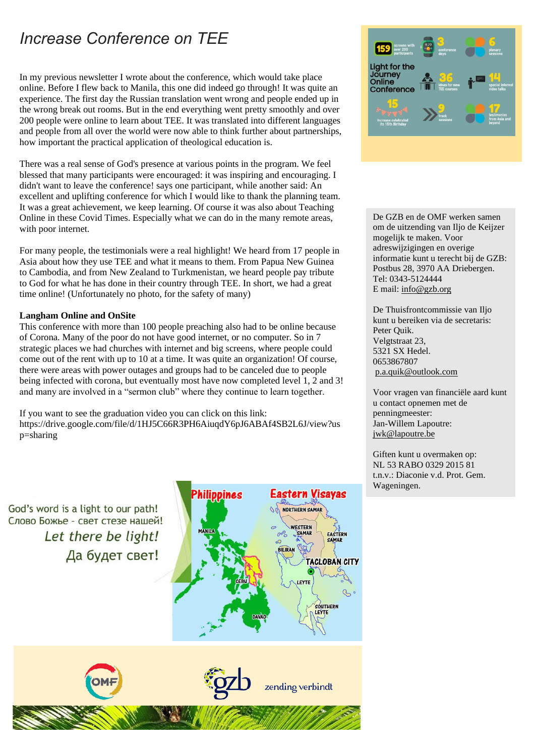# *Increase Conference on TEE*

In my previous newsletter I wrote about the conference, which would take place online. Before I flew back to Manila, this one did indeed go through! It was quite an experience. The first day the Russian translation went wrong and people ended up in the wrong break out rooms. But in the end everything went pretty smoothly and over 200 people were online to learn about TEE. It was translated into different languages and people from all over the world were now able to think further about partnerships, how important the practical application of theological education is.

There was a real sense of God's presence at various points in the program. We feel blessed that many participants were encouraged: it was inspiring and encouraging. I didn't want to leave the conference! says one participant, while another said: An excellent and uplifting conference for which I would like to thank the planning team. It was a great achievement, we keep learning. Of course it was also about Teaching Online in these Covid Times. Especially what we can do in the many remote areas, with poor internet.

For many people, the testimonials were a real highlight! We heard from 17 people in Asia about how they use TEE and what it means to them. From Papua New Guinea to Cambodia, and from New Zealand to Turkmenistan, we heard people pay tribute to God for what he has done in their country through TEE. In short, we had a great time online! (Unfortunately no photo, for the safety of many)

#### **Langham Online and OnSite**

This conference with more than 100 people preaching also had to be online because of Corona. Many of the poor do not have good internet, or no computer. So in 7 strategic places we had churches with internet and big screens, where people could come out of the rent with up to 10 at a time. It was quite an organization! Of course, there were areas with power outages and groups had to be canceled due to people being infected with corona, but eventually most have now completed level 1, 2 and 3! and many are involved in a "sermon club" where they continue to learn together.

If you want to see the graduation video you can click on this link: https://drive.google.com/file/d/1HJ5C66R3PH6AiuqdY6pJ6ABAf4SB2L6J/view?us p=sharing

God's word is a light to our path! Слово Божье - свет стезе нашей! Let there be light! Да будет свет!





De GZB en de OMF werken samen om de uitzending van Iljo de Keijzer mogelijk te maken. Voor adreswijzigingen en overige informatie kunt u terecht bij de GZB: Postbus 28, 3970 AA Driebergen. Tel: 0343-5124444 E mail[: info@gzb.org](mailto:info@gzb.org)

De Thuisfrontcommissie van Iljo kunt u bereiken via de secretaris: Peter Quik. Velgtstraat 23, 5321 SX Hedel. 0653867807 [p.a.quik@outlook.com](mailto:p.a.quik@outlook.com)

Voor vragen van financiële aard kunt u contact opnemen met de penningmeester: Jan-Willem Lapoutre: [jwk@lapoutre.be](mailto:jwk@lapoutre.be)

Giften kunt u overmaken op: NL 53 RABO 0329 2015 81 t.n.v.: Diaconie v.d. Prot. Gem. Wageningen.